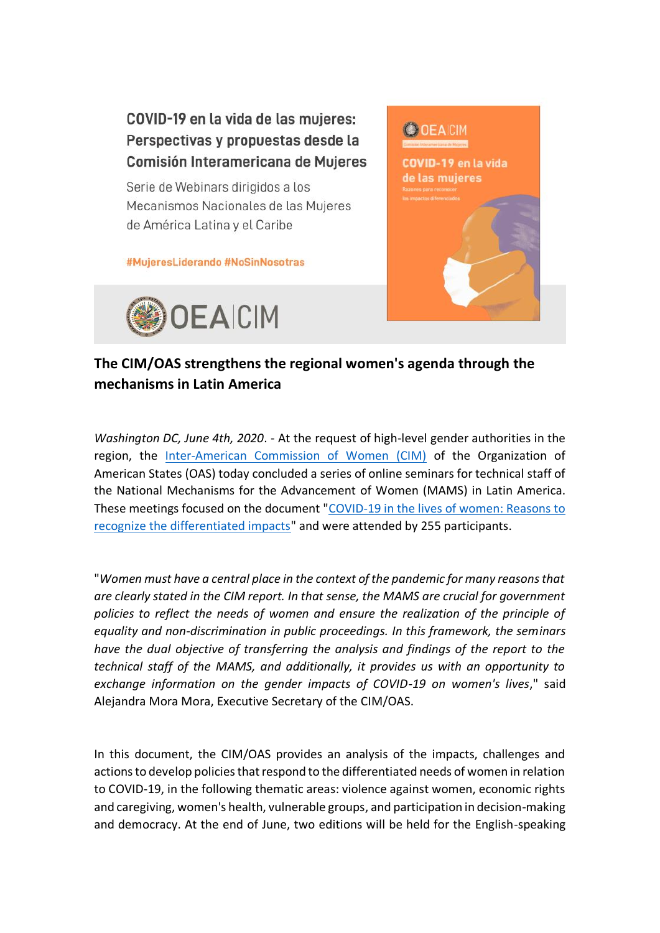

## **The CIM/OAS strengthens the regional women's agenda through the mechanisms in Latin America**

*Washington DC, June 4th, 2020*. - At the request of high-level gender authorities in the region, the [Inter-American Commission of Women \(CIM\)](http://www.oas.org/es/CIM/default.asp) of the Organization of American States (OAS) today concluded a series of online seminars for technical staff of the National Mechanisms for the Advancement of Women (MAMS) in Latin America. These meetings focused on the document ["COVID-19 in the lives of women: Reasons to](http://www.oas.org/es/cim/docs/ArgumentarioCOVID19-ES.pdf)  [recognize the differentiated impacts"](http://www.oas.org/es/cim/docs/ArgumentarioCOVID19-ES.pdf) and were attended by 255 participants.

"*Women must have a central place in the context of the pandemic for many reasons that are clearly stated in the CIM report. In that sense, the MAMS are crucial for government policies to reflect the needs of women and ensure the realization of the principle of equality and non-discrimination in public proceedings. In this framework, the seminars have the dual objective of transferring the analysis and findings of the report to the technical staff of the MAMS, and additionally, it provides us with an opportunity to exchange information on the gender impacts of COVID-19 on women's lives*," said Alejandra Mora Mora, Executive Secretary of the CIM/OAS.

In this document, the CIM/OAS provides an analysis of the impacts, challenges and actions to develop policies that respond to the differentiated needs of women in relation to COVID-19, in the following thematic areas: violence against women, economic rights and caregiving, women's health, vulnerable groups, and participation in decision-making and democracy. At the end of June, two editions will be held for the English-speaking